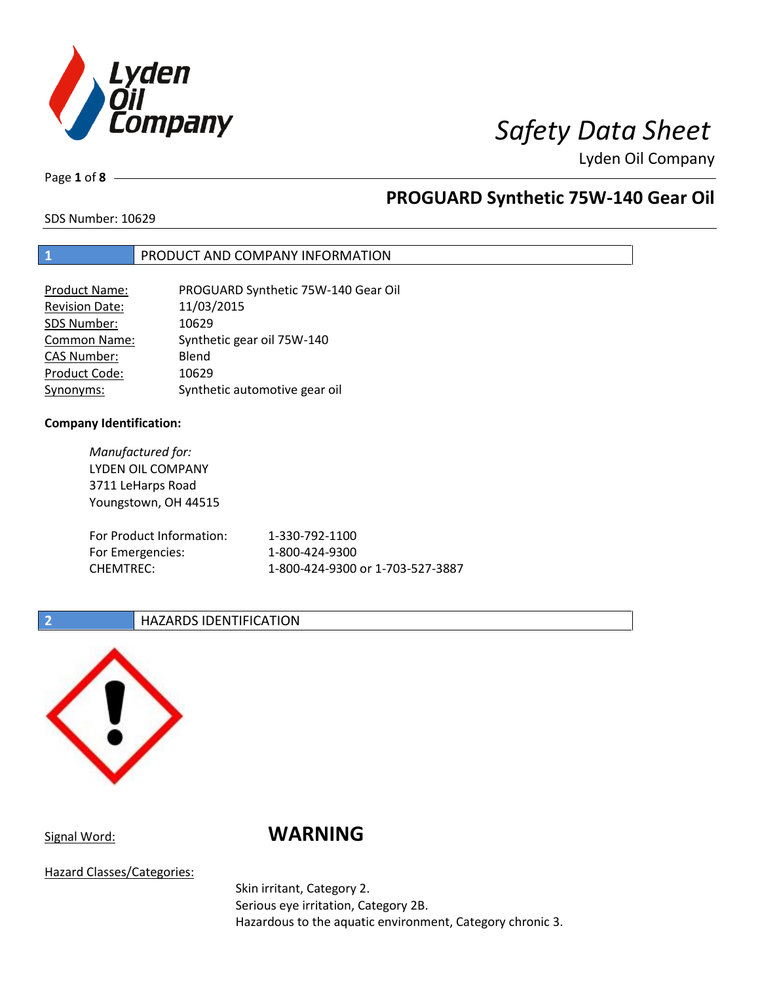

Page **1** of **8**

# **PROGUARD Synthetic 75W-140 Gear Oil**

SDS Number: 10629

## **1** PRODUCT AND COMPANY INFORMATION

| <b>Product Name:</b>  | PROGUARD Synthetic 75W-140 Gear Oil |
|-----------------------|-------------------------------------|
| <b>Revision Date:</b> | 11/03/2015                          |
| SDS Number:           | 10629                               |
| <b>Common Name:</b>   | Synthetic gear oil 75W-140          |
| <b>CAS Number:</b>    | Blend                               |
| Product Code:         | 10629                               |
| Synonyms:             | Synthetic automotive gear oil       |

## **Company Identification:**

*Manufactured for:* LYDEN OIL COMPANY 3711 LeHarps Road Youngstown, OH 44515 For Product Information: 1-330-792-1100 For Emergencies: 1-800-424-9300 CHEMTREC: 1-800-424-9300 or 1-703-527-3887

## **2 HAZARDS IDENTIFICATION**



# Signal Word: **WARNING**

Hazard Classes/Categories:

Skin irritant, Category 2. Serious eye irritation, Category 2B. Hazardous to the aquatic environment, Category chronic 3.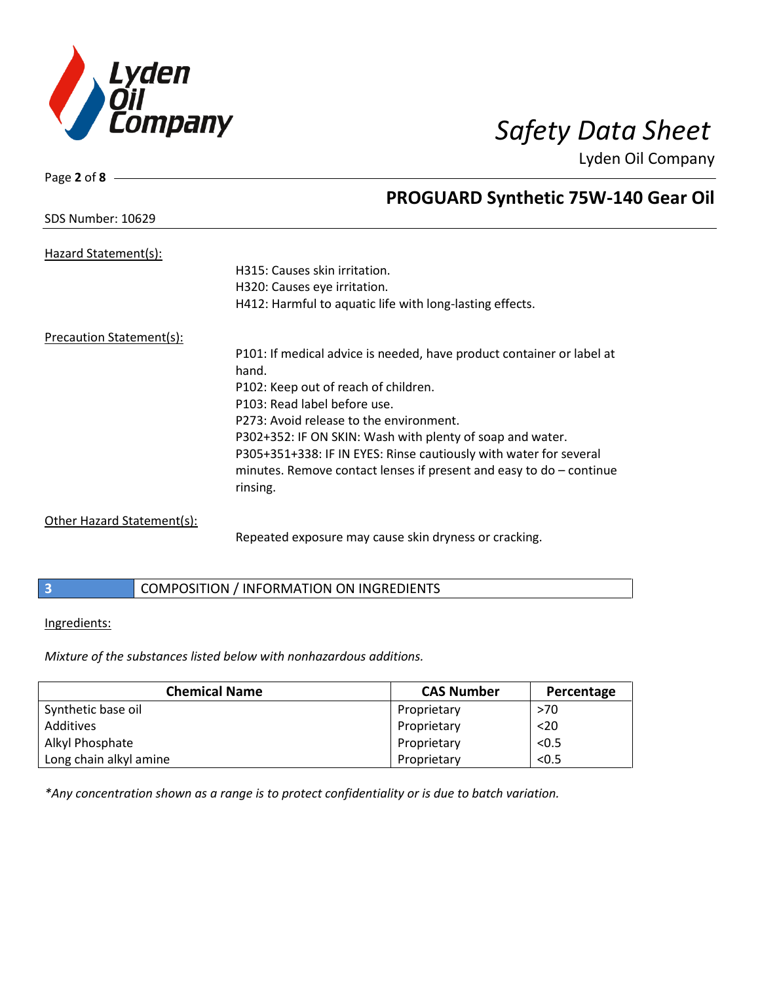

Page **2** of **8**

# **PROGUARD Synthetic 75W-140 Gear Oil**

| SDS Number: 10629 |  |
|-------------------|--|
|                   |  |

| Hazard Statement(s):     |                                                                       |
|--------------------------|-----------------------------------------------------------------------|
|                          | H315: Causes skin irritation.                                         |
|                          | H320: Causes eye irritation.                                          |
|                          | H412: Harmful to aquatic life with long-lasting effects.              |
| Precaution Statement(s): |                                                                       |
|                          | P101: If medical advice is needed, have product container or label at |
|                          | hand.                                                                 |
|                          | P102: Keep out of reach of children.                                  |
|                          | P103: Read label before use.                                          |
|                          | P273: Avoid release to the environment.                               |
|                          | P302+352: IF ON SKIN: Wash with plenty of soap and water.             |
|                          | P305+351+338: IF IN EYES: Rinse cautiously with water for several     |
|                          | minutes. Remove contact lenses if present and easy to $do$ – continue |
|                          | rinsing.                                                              |
|                          |                                                                       |

Other Hazard Statement(s):

Repeated exposure may cause skin dryness or cracking.

**3** COMPOSITION / INFORMATION ON INGREDIENTS

## Ingredients:

*Mixture of the substances listed below with nonhazardous additions.*

| <b>Chemical Name</b>   | <b>CAS Number</b> | Percentage |
|------------------------|-------------------|------------|
| Synthetic base oil     | Proprietary       | >70        |
| Additives              | Proprietary       | $20$       |
| Alkyl Phosphate        | Proprietary       | < 0.5      |
| Long chain alkyl amine | Proprietary       | < 0.5      |

*\*Any concentration shown as a range is to protect confidentiality or is due to batch variation.*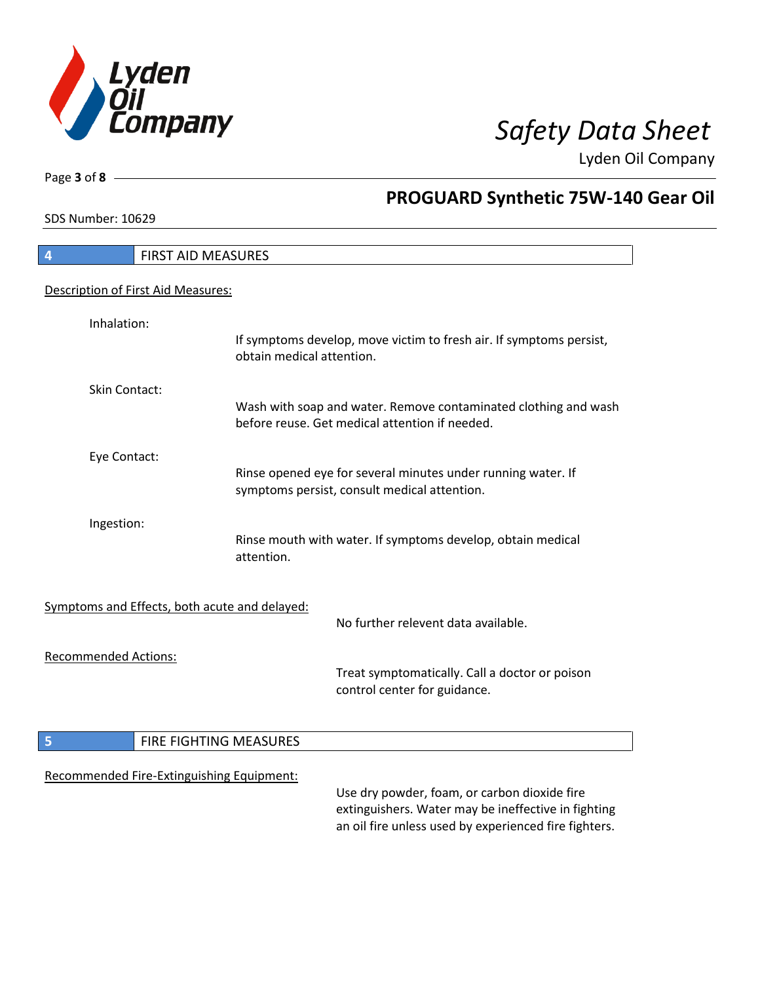

٦

Page **3** of **8**

# **PROGUARD Synthetic 75W-140 Gear Oil**

SDS Number: 10629

| 4                                             | FIRST AID MEASURES                                                                                                                                           |
|-----------------------------------------------|--------------------------------------------------------------------------------------------------------------------------------------------------------------|
| Description of First Aid Measures:            |                                                                                                                                                              |
| Inhalation:                                   | If symptoms develop, move victim to fresh air. If symptoms persist,<br>obtain medical attention.                                                             |
| <b>Skin Contact:</b>                          | Wash with soap and water. Remove contaminated clothing and wash<br>before reuse. Get medical attention if needed.                                            |
| Eye Contact:                                  | Rinse opened eye for several minutes under running water. If<br>symptoms persist, consult medical attention.                                                 |
| Ingestion:                                    | Rinse mouth with water. If symptoms develop, obtain medical<br>attention.                                                                                    |
| Symptoms and Effects, both acute and delayed: | No further relevent data available.                                                                                                                          |
| <b>Recommended Actions:</b>                   | Treat symptomatically. Call a doctor or poison<br>control center for guidance.                                                                               |
| 5                                             | FIRE FIGHTING MEASURES                                                                                                                                       |
| Recommended Fire-Extinguishing Equipment:     | Use dry powder, foam, or carbon dioxide fire<br>extinguishers. Water may be ineffective in fighting<br>an oil fire unless used by experienced fire fighters. |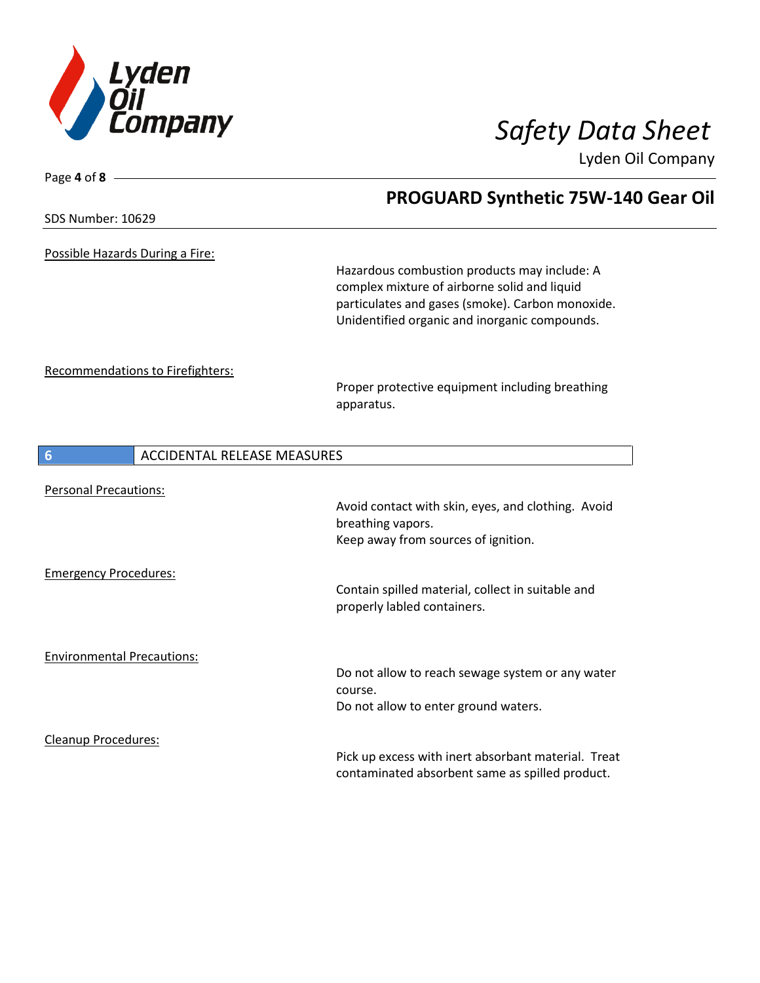

Page **4** of **8**

**PROGUARD Synthetic 75W-140 Gear Oil**

Lyden Oil Company

| SDS Number: 10629                                            |                                    |                                                                                                                                                                                                    |
|--------------------------------------------------------------|------------------------------------|----------------------------------------------------------------------------------------------------------------------------------------------------------------------------------------------------|
| Possible Hazards During a Fire:                              |                                    | Hazardous combustion products may include: A<br>complex mixture of airborne solid and liquid<br>particulates and gases (smoke). Carbon monoxide.<br>Unidentified organic and inorganic compounds.  |
| <b>Recommendations to Firefighters:</b>                      |                                    | Proper protective equipment including breathing<br>apparatus.                                                                                                                                      |
| 6                                                            | <b>ACCIDENTAL RELEASE MEASURES</b> |                                                                                                                                                                                                    |
| <b>Personal Precautions:</b><br><b>Emergency Procedures:</b> |                                    | Avoid contact with skin, eyes, and clothing. Avoid<br>breathing vapors.<br>Keep away from sources of ignition.<br>Contain spilled material, collect in suitable and<br>properly labled containers. |
| <b>Environmental Precautions:</b>                            |                                    | Do not allow to reach sewage system or any water<br>course.<br>Do not allow to enter ground waters.                                                                                                |
| <b>Cleanup Procedures:</b>                                   |                                    | Pick up excess with inert absorbant material. Treat<br>contaminated absorbent same as spilled product.                                                                                             |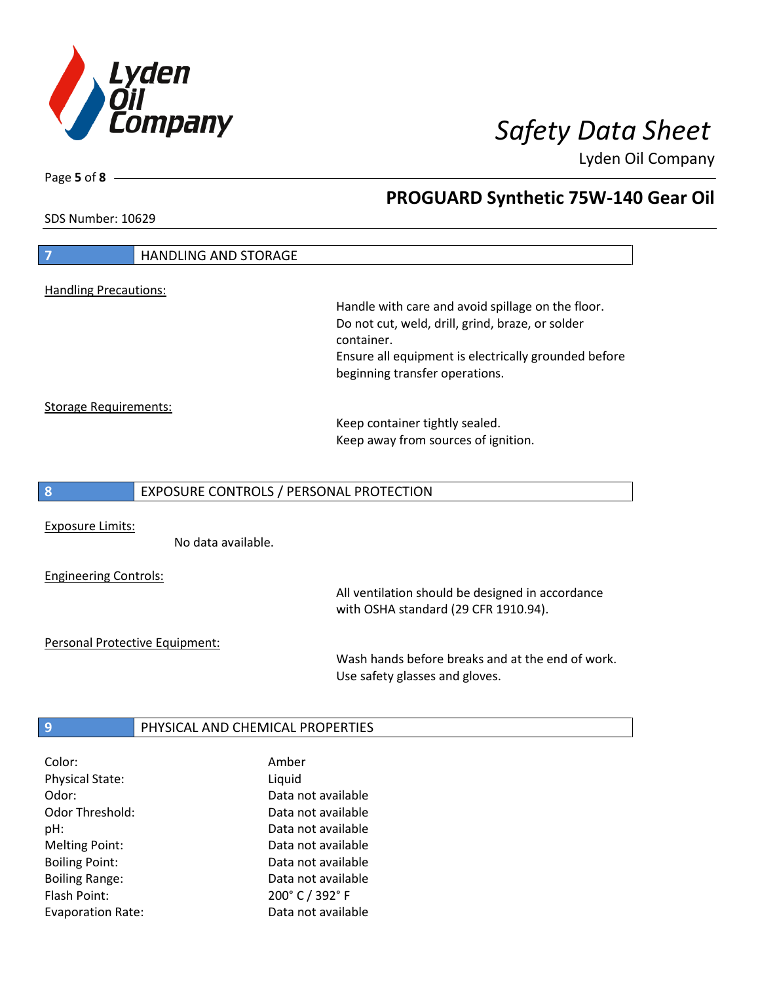

**PROGUARD Synthetic 75W-140 Gear Oil**

Lyden Oil Company

SDS Number: 10629

Page **5** of **8**

| 7                            | <b>HANDLING AND STORAGE</b>             |                                                                                        |
|------------------------------|-----------------------------------------|----------------------------------------------------------------------------------------|
|                              |                                         |                                                                                        |
| <b>Handling Precautions:</b> |                                         | Handle with care and avoid spillage on the floor.                                      |
|                              |                                         | Do not cut, weld, drill, grind, braze, or solder                                       |
|                              |                                         | container.                                                                             |
|                              |                                         | Ensure all equipment is electrically grounded before<br>beginning transfer operations. |
|                              |                                         |                                                                                        |
| <b>Storage Requirements:</b> |                                         |                                                                                        |
|                              |                                         | Keep container tightly sealed.<br>Keep away from sources of ignition.                  |
|                              |                                         |                                                                                        |
| 8                            | EXPOSURE CONTROLS / PERSONAL PROTECTION |                                                                                        |
|                              |                                         |                                                                                        |
| <b>Exposure Limits:</b>      |                                         |                                                                                        |
|                              | No data available.                      |                                                                                        |
| <b>Engineering Controls:</b> |                                         |                                                                                        |
|                              |                                         | All ventilation should be designed in accordance                                       |
|                              |                                         | with OSHA standard (29 CFR 1910.94).                                                   |
|                              | Personal Protective Equipment:          |                                                                                        |
|                              |                                         |                                                                                        |
|                              |                                         | Wash hands before breaks and at the end of work.                                       |
|                              |                                         | Use safety glasses and gloves.                                                         |
|                              |                                         |                                                                                        |
| 9                            | PHYSICAL AND CHEMICAL PROPERTIES        |                                                                                        |

Physical State: Liquid Flash Point: 200° C / 392° F

Odor: Data not available Odor Threshold: Data not available pH: Data not available Melting Point: Case Controller Melting Point: Boiling Point: Case Communication Controller Data not available Boiling Range: The Contract Contract Data not available Evaporation Rate: Data not available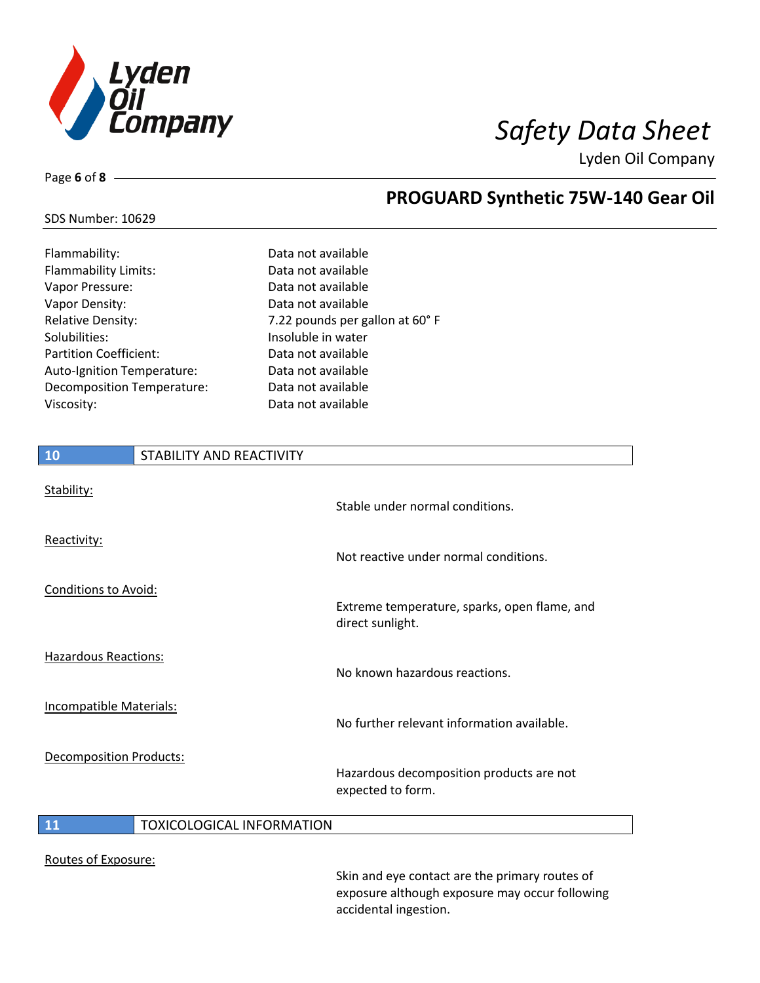

**PROGUARD Synthetic 75W-140 Gear Oil**

Lyden Oil Company

## SDS Number: 10629

Page **6** of **8**

| Flammability:                     | Data not available              |
|-----------------------------------|---------------------------------|
| <b>Flammability Limits:</b>       | Data not available              |
| Vapor Pressure:                   | Data not available              |
| Vapor Density:                    | Data not available              |
| <b>Relative Density:</b>          | 7.22 pounds per gallon at 60° F |
| Solubilities:                     | Insoluble in water              |
| <b>Partition Coefficient:</b>     | Data not available              |
| Auto-Ignition Temperature:        | Data not available              |
| <b>Decomposition Temperature:</b> | Data not available              |
| Viscosity:                        | Data not available              |
|                                   |                                 |

# **10** STABILITY AND REACTIVITY Stability: Stable under normal conditions. Reactivity: Not reactive under normal conditions. Conditions to Avoid: Extreme temperature, sparks, open flame, and direct sunlight. Hazardous Reactions: No known hazardous reactions. Incompatible Materials: No further relevant information available. Decomposition Products: Hazardous decomposition products are not expected to form. **11 TOXICOLOGICAL INFORMATION**

Routes of Exposure:

Skin and eye contact are the primary routes of exposure although exposure may occur following accidental ingestion.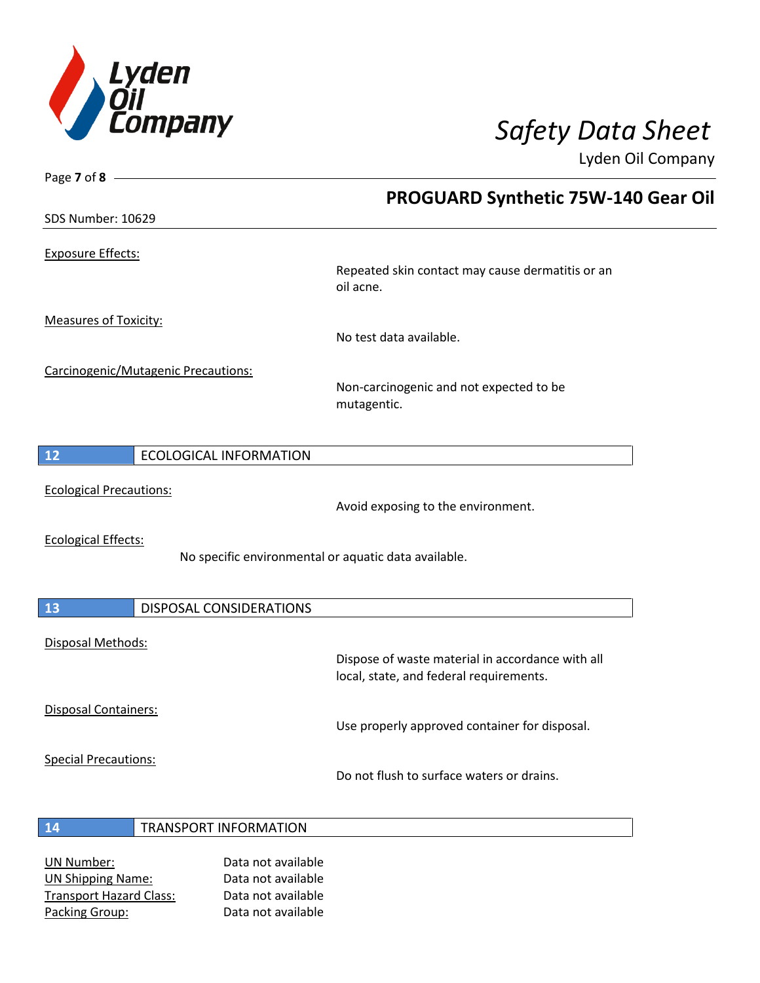

| Page 7 of 8 $-$                |                                     |                                                                                             |
|--------------------------------|-------------------------------------|---------------------------------------------------------------------------------------------|
|                                |                                     | <b>PROGUARD Synthetic 75W-140 Gear Oil</b>                                                  |
| SDS Number: 10629              |                                     |                                                                                             |
| <b>Exposure Effects:</b>       |                                     | Repeated skin contact may cause dermatitis or an<br>oil acne.                               |
| <b>Measures of Toxicity:</b>   |                                     | No test data available.                                                                     |
|                                | Carcinogenic/Mutagenic Precautions: | Non-carcinogenic and not expected to be<br>mutagentic.                                      |
| 12                             | <b>ECOLOGICAL INFORMATION</b>       |                                                                                             |
| <b>Ecological Precautions:</b> |                                     | Avoid exposing to the environment.                                                          |
| <b>Ecological Effects:</b>     |                                     | No specific environmental or aquatic data available.                                        |
| 13                             | <b>DISPOSAL CONSIDERATIONS</b>      |                                                                                             |
| Disposal Methods:              |                                     | Dispose of waste material in accordance with all<br>local, state, and federal requirements. |
| <b>Disposal Containers:</b>    |                                     | Use properly approved container for disposal.                                               |
| <b>Special Precautions:</b>    |                                     | Do not flush to surface waters or drains.                                                   |
| 14                             | <b>TRANSPORT INFORMATION</b>        |                                                                                             |

UN Number: Data not available UN Shipping Name: Data not available Transport Hazard Class: Data not available Packing Group: Data not available